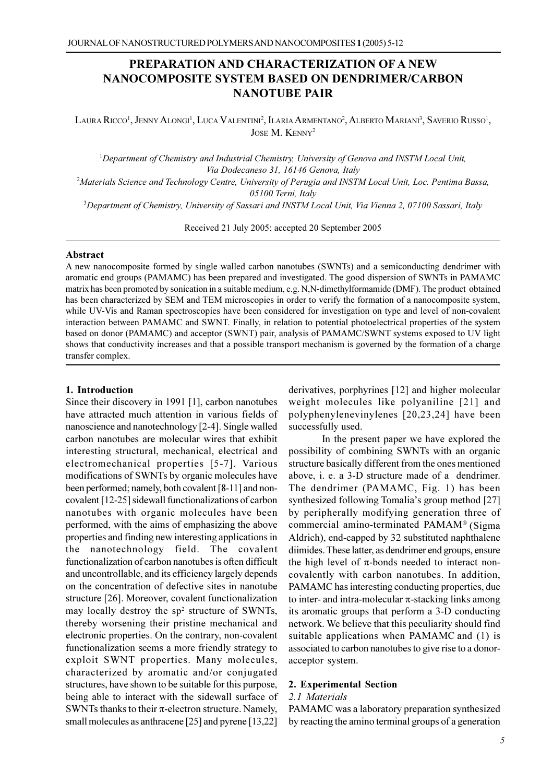# PREPARATION AND CHARACTERIZATION OF A NEW **NANOCOMPOSITE SYSTEM BASED ON DENDRIMER/CARBON NANOTUBE PAIR**

LAURA RICCO<sup>1</sup>, JENNY ALONGI<sup>1</sup>, LUCA VALENTINI<sup>2</sup>, ILARIA ARMENTANO<sup>2</sup>, ALBERTO MARIANI<sup>3</sup>, SAVERIO RUSSO<sup>1</sup>, JOSE M. KENNY<sup>2</sup>

<sup>1</sup>Department of Chemistry and Industrial Chemistry, University of Genova and INSTM Local Unit, Via Dodecaneso 31, 16146 Genova, Italy <sup>2</sup>Materials Science and Technology Centre, University of Perugia and INSTM Local Unit, Loc. Pentima Bassa, 05100 Terni, Italy <sup>3</sup>Department of Chemistry, University of Sassari and INSTM Local Unit, Via Vienna 2, 07100 Sassari, Italy

Received 21 July 2005; accepted 20 September 2005

#### **Abstract**

A new nanocomposite formed by single walled carbon nanotubes (SWNTs) and a semiconducting dendrimer with aromatic end groups (PAMAMC) has been prepared and investigated. The good dispersion of SWNTs in PAMAMC matrix has been promoted by sonication in a suitable medium, e.g. N,N-dimethylformamide (DMF). The product obtained has been characterized by SEM and TEM microscopies in order to verify the formation of a nanocomposite system, while UV-Vis and Raman spectroscopies have been considered for investigation on type and level of non-covalent interaction between PAMAMC and SWNT. Finally, in relation to potential photoelectrical properties of the system based on donor (PAMAMC) and acceptor (SWNT) pair, analysis of PAMAMC/SWNT systems exposed to UV light shows that conductivity increases and that a possible transport mechanism is governed by the formation of a charge transfer complex.

#### 1. Introduction

Since their discovery in 1991 [1], carbon nanotubes have attracted much attention in various fields of nanoscience and nanotechnology [2-4]. Single walled carbon nanotubes are molecular wires that exhibit interesting structural, mechanical, electrical and electromechanical properties [5-7]. Various modifications of SWNTs by organic molecules have been performed; namely, both covalent [8-11] and noncovalent [12-25] sidewall functionalizations of carbon nanotubes with organic molecules have been performed, with the aims of emphasizing the above properties and finding new interesting applications in the nanotechnology field. The covalent functionalization of carbon nanotubes is often difficult and uncontrollable, and its efficiency largely depends on the concentration of defective sites in nanotube structure [26]. Moreover, covalent functionalization may locally destroy the sp<sup>2</sup> structure of SWNTs, thereby worsening their pristine mechanical and electronic properties. On the contrary, non-covalent functionalization seems a more friendly strategy to exploit SWNT properties. Many molecules, characterized by aromatic and/or conjugated structures, have shown to be suitable for this purpose, being able to interact with the sidewall surface of SWNTs thanks to their  $\pi$ -electron structure. Namely, small molecules as anthracene [25] and pyrene [13,22]

derivatives, porphyrines [12] and higher molecular weight molecules like polyaniline [21] and polyphenylenevinylenes [20,23,24] have been successfully used.

In the present paper we have explored the possibility of combining SWNTs with an organic structure basically different from the ones mentioned above, i. e. a 3-D structure made of a dendrimer. The dendrimer (PAMAMC, Fig. 1) has been synthesized following Tomalia's group method [27] by peripherally modifying generation three of commercial amino-terminated PAMAM® (Sigma Aldrich), end-capped by 32 substituted naphthalene diimides. These latter, as dendrimer end groups, ensure the high level of  $\pi$ -bonds needed to interact noncovalently with carbon nanotubes. In addition, PAMAMC has interesting conducting properties, due to inter- and intra-molecular  $\pi$ -stacking links among its aromatic groups that perform a 3-D conducting network. We believe that this peculiarity should find suitable applications when PAMAMC and (1) is associated to carbon nanotubes to give rise to a donoracceptor system.

### 2. Experimental Section

## 2.1 Materials

PAMAMC was a laboratory preparation synthesized by reacting the amino terminal groups of a generation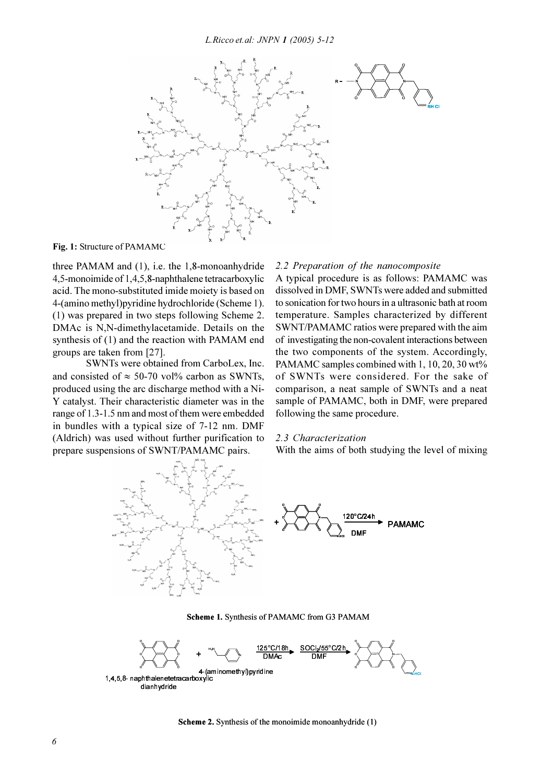

Fig. 1: Structure of PAMAMC

three PAMAM and  $(1)$ , i.e. the 1,8-monoanhydride 4,5-monoimide of 1,4,5,8-naphthalene tetracarboxylic acid. The mono-substituted imide moiety is based on 4-(amino methyl) pyridine hydrochloride (Scheme 1). (1) was prepared in two steps following Scheme 2. DMAc is N,N-dimethylacetamide. Details on the synthesis of (1) and the reaction with PAMAM end groups are taken from [27].

SWNTs were obtained from CarboLex, Inc. and consisted of  $\approx$  50-70 vol% carbon as SWNTs, produced using the arc discharge method with a Ni-Y catalyst. Their characteristic diameter was in the range of 1.3-1.5 nm and most of them were embedded in bundles with a typical size of 7-12 nm. DMF (Aldrich) was used without further purification to prepare suspensions of SWNT/PAMAMC pairs.

### 2.2 Preparation of the nanocomposite

A typical procedure is as follows: PAMAMC was dissolved in DMF, SWNTs were added and submitted to sonication for two hours in a ultrasonic bath at room temperature. Samples characterized by different SWNT/PAMAMC ratios were prepared with the aim of investigating the non-covalent interactions between the two components of the system. Accordingly, PAMAMC samples combined with 1, 10, 20, 30 wt% of SWNTs were considered. For the sake of comparison, a neat sample of SWNTs and a neat sample of PAMAMC, both in DMF, were prepared following the same procedure.

#### 2.3 Characterization

With the aims of both studying the level of mixing



Scheme 1. Synthesis of PAMAMC from G3 PAMAM

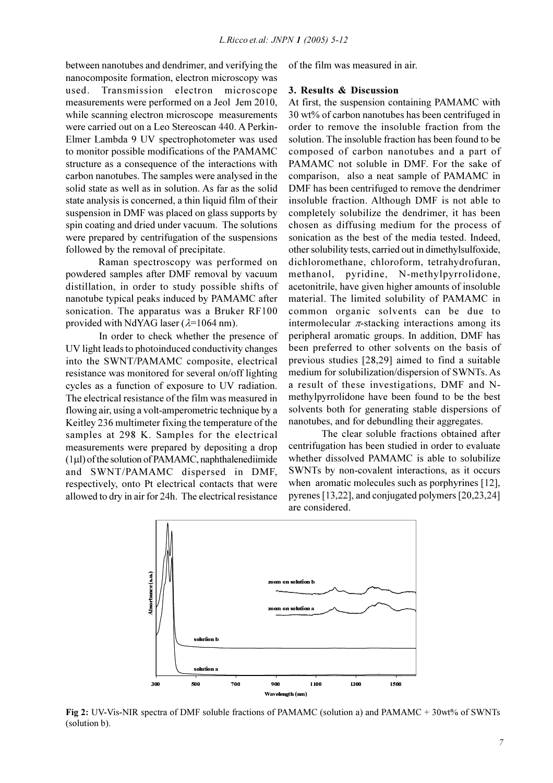between nanotubes and dendrimer, and verifying the nanocomposite formation, electron microscopy was used. Transmission electron microscope measurements were performed on a Jeol Jem 2010, while scanning electron microscope measurements were carried out on a Leo Stereoscan 440. A Perkin-Elmer Lambda 9 UV spectrophotometer was used to monitor possible modifications of the PAMAMC structure as a consequence of the interactions with carbon nanotubes. The samples were analysed in the solid state as well as in solution. As far as the solid state analysis is concerned, a thin liquid film of their suspension in DMF was placed on glass supports by spin coating and dried under vacuum. The solutions were prepared by centrifugation of the suspensions followed by the removal of precipitate.

Raman spectroscopy was performed on powdered samples after DMF removal by vacuum distillation, in order to study possible shifts of nanotube typical peaks induced by PAMAMC after sonication. The apparatus was a Bruker RF100 provided with NdYAG laser ( $\lambda$ =1064 nm).

In order to check whether the presence of UV light leads to photoinduced conductivity changes into the SWNT/PAMAMC composite, electrical resistance was monitored for several on/off lighting cycles as a function of exposure to UV radiation. The electrical resistance of the film was measured in flowing air, using a volt-amperometric technique by a Keitley 236 multimeter fixing the temperature of the samples at 298 K. Samples for the electrical measurements were prepared by depositing a drop  $(1\mu l)$  of the solution of PAMAMC, naphthalenediimide and SWNT/PAMAMC dispersed in DMF, respectively, onto Pt electrical contacts that were allowed to dry in air for 24h. The electrical resistance of the film was measured in air.

## 3. Results & Discussion

At first, the suspension containing PAMAMC with 30 wt% of carbon nanotubes has been centrifuged in order to remove the insoluble fraction from the solution. The insoluble fraction has been found to be composed of carbon nanotubes and a part of PAMAMC not soluble in DMF. For the sake of comparison, also a neat sample of PAMAMC in DMF has been centrifuged to remove the dendrimer insoluble fraction. Although DMF is not able to completely solubilize the dendrimer, it has been chosen as diffusing medium for the process of sonication as the best of the media tested. Indeed, other solubility tests, carried out in dimethylsulfoxide, dichloromethane, chloroform, tetrahydrofuran, methanol, pyridine, N-methylpyrrolidone, acetonitrile, have given higher amounts of insoluble material. The limited solubility of PAMAMC in common organic solvents can be due to intermolecular  $\pi$ -stacking interactions among its peripheral aromatic groups. In addition, DMF has been preferred to other solvents on the basis of previous studies [28,29] aimed to find a suitable medium for solubilization/dispersion of SWNTs. As a result of these investigations, DMF and Nmethylpyrrolidone have been found to be the best solvents both for generating stable dispersions of nanotubes, and for debundling their aggregates.

The clear soluble fractions obtained after centrifugation has been studied in order to evaluate whether dissolved PAMAMC is able to solubilize SWNTs by non-covalent interactions, as it occurs when aromatic molecules such as porphyrines [12], pyrenes [13,22], and conjugated polymers  $[20,23,24]$ are considered.



Fig 2: UV-Vis-NIR spectra of DMF soluble fractions of PAMAMC (solution a) and PAMAMC +  $30wt\%$  of SWNTs (solution b).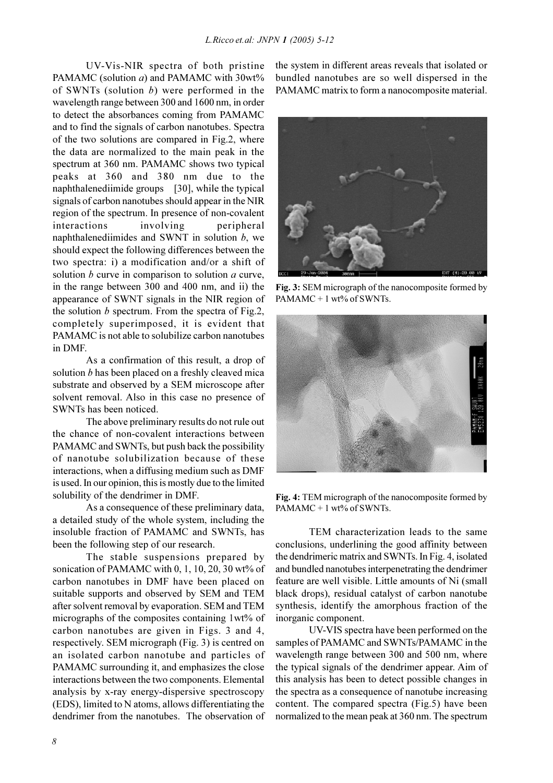UV-Vis-NIR spectra of both pristine PAMAMC (solution *a*) and PAMAMC with 30wt% of SWNTs (solution  $b$ ) were performed in the wavelength range between 300 and 1600 nm, in order to detect the absorbances coming from PAMAMC and to find the signals of carbon nanotubes. Spectra of the two solutions are compared in Fig.2, where the data are normalized to the main peak in the spectrum at 360 nm. PAMAMC shows two typical peaks at 360 and 380 nm due to the naphthalenediimide groups [30], while the typical signals of carbon nanotubes should appear in the NIR region of the spectrum. In presence of non-covalent interactions involving peripheral naphthalenediimides and SWNT in solution  $b$ , we should expect the following differences between the two spectra: i) a modification and/or a shift of solution  $b$  curve in comparison to solution  $a$  curve, in the range between 300 and 400 nm, and ii) the appearance of SWNT signals in the NIR region of the solution  $b$  spectrum. From the spectra of Fig.2, completely superimposed, it is evident that PAMAMC is not able to solubilize carbon nanotubes in DMF

As a confirmation of this result, a drop of solution *b* has been placed on a freshly cleaved mica substrate and observed by a SEM microscope after solvent removal. Also in this case no presence of SWNTs has been noticed.

The above preliminary results do not rule out the chance of non-covalent interactions between PAMAMC and SWNTs, but push back the possibility of nanotube solubilization because of these interactions, when a diffusing medium such as DMF is used. In our opinion, this is mostly due to the limited solubility of the dendrimer in DMF.

As a consequence of these preliminary data, a detailed study of the whole system, including the insoluble fraction of PAMAMC and SWNTs, has been the following step of our research.

The stable suspensions prepared by sonication of PAMAMC with 0, 1, 10, 20, 30 wt% of carbon nanotubes in DMF have been placed on suitable supports and observed by SEM and TEM after solvent removal by evaporation. SEM and TEM micrographs of the composites containing 1wt% of carbon nanotubes are given in Figs. 3 and 4, respectively. SEM micrograph (Fig. 3) is centred on an isolated carbon nanotube and particles of PAMAMC surrounding it, and emphasizes the close interactions between the two components. Elemental analysis by x-ray energy-dispersive spectroscopy (EDS), limited to N atoms, allows differentiating the dendrimer from the nanotubes. The observation of the system in different areas reveals that isolated or bundled nanotubes are so well dispersed in the PAMAMC matrix to form a nanocomposite material.



Fig. 3: SEM micrograph of the nanocomposite formed by PAMAMC + 1 wt% of SWNTs.



Fig. 4: TEM micrograph of the nanocomposite formed by PAMAMC + 1 wt% of SWNTs.

TEM characterization leads to the same conclusions, underlining the good affinity between the dendrimeric matrix and SWNTs. In Fig. 4, isolated and bundled nanotubes interpenetrating the dendrimer feature are well visible. Little amounts of Ni (small) black drops), residual catalyst of carbon nanotube synthesis, identify the amorphous fraction of the inorganic component.

UV-VIS spectra have been performed on the samples of PAMAMC and SWNTs/PAMAMC in the wavelength range between 300 and 500 nm, where the typical signals of the dendrimer appear. Aim of this analysis has been to detect possible changes in the spectra as a consequence of nanotube increasing content. The compared spectra (Fig.5) have been normalized to the mean peak at 360 nm. The spectrum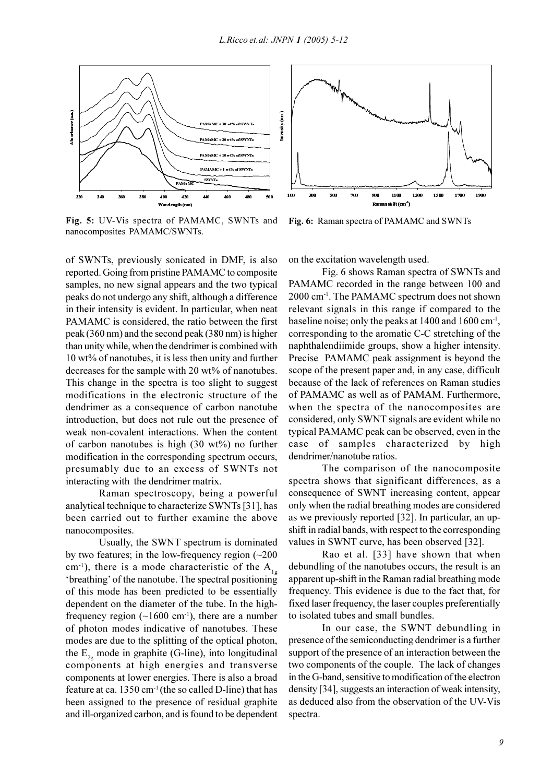

Fig. 5: UV-Vis spectra of PAMAMC, SWNTs and nanocomposites PAMAMC/SWNTs.

of SWNTs, previously sonicated in DMF, is also reported. Going from pristine PAMAMC to composite samples, no new signal appears and the two typical peaks do not undergo any shift, although a difference in their intensity is evident. In particular, when neat PAMAMC is considered, the ratio between the first peak  $(360 \text{ nm})$  and the second peak  $(380 \text{ nm})$  is higher than unity while, when the dendrimer is combined with 10 wt% of nanotubes, it is less then unity and further decreases for the sample with 20 wt% of nanotubes. This change in the spectra is too slight to suggest modifications in the electronic structure of the dendrimer as a consequence of carbon nanotube introduction, but does not rule out the presence of weak non-covalent interactions. When the content of carbon nanotubes is high  $(30 \text{ wt\%})$  no further modification in the corresponding spectrum occurs, presumably due to an excess of SWNTs not interacting with the dendrimer matrix.

Raman spectroscopy, being a powerful analytical technique to characterize SWNTs [31], has been carried out to further examine the above nanocomposites.

Usually, the SWNT spectrum is dominated by two features; in the low-frequency region  $(\sim 200$  $\text{cm}^{-1}$ ), there is a mode characteristic of the A<sub>1</sub>. 'breathing' of the nanotube. The spectral positioning of this mode has been predicted to be essentially dependent on the diameter of the tube. In the highfrequency region  $(\sim 1600 \text{ cm}^{-1})$ , there are a number of photon modes indicative of nanotubes. These modes are due to the splitting of the optical photon, the  $E_{2\alpha}$  mode in graphite (G-line), into longitudinal components at high energies and transverse components at lower energies. There is also a broad feature at ca. 1350 cm<sup>-1</sup> (the so called D-line) that has been assigned to the presence of residual graphite and ill-organized carbon, and is found to be dependent



Fig. 6: Raman spectra of PAMAMC and SWNTs

on the excitation wavelength used.

Fig. 6 shows Raman spectra of SWNTs and PAMAMC recorded in the range between 100 and 2000 cm<sup>-1</sup>. The PAMAMC spectrum does not shown relevant signals in this range if compared to the baseline noise; only the peaks at  $1400$  and  $1600$  cm<sup>-1</sup>, corresponding to the aromatic C-C stretching of the naphthalendiimide groups, show a higher intensity. Precise PAMAMC peak assignment is beyond the scope of the present paper and, in any case, difficult because of the lack of references on Raman studies of PAMAMC as well as of PAMAM. Furthermore, when the spectra of the nanocomposites are considered, only SWNT signals are evident while no typical PAMAMC peak can be observed, even in the case of samples characterized by high dendrimer/nanotube ratios.

The comparison of the nanocomposite spectra shows that significant differences, as a consequence of SWNT increasing content, appear only when the radial breathing modes are considered as we previously reported [32]. In particular, an upshift in radial bands, with respect to the corresponding values in SWNT curve, has been observed [32].

Rao et al. [33] have shown that when debundling of the nanotubes occurs, the result is an apparent up-shift in the Raman radial breathing mode frequency. This evidence is due to the fact that, for fixed laser frequency, the laser couples preferentially to isolated tubes and small bundles.

In our case, the SWNT debundling in presence of the semiconducting dendrimer is a further support of the presence of an interaction between the two components of the couple. The lack of changes in the G-band, sensitive to modification of the electron density [34], suggests an interaction of weak intensity, as deduced also from the observation of the UV-Vis spectra.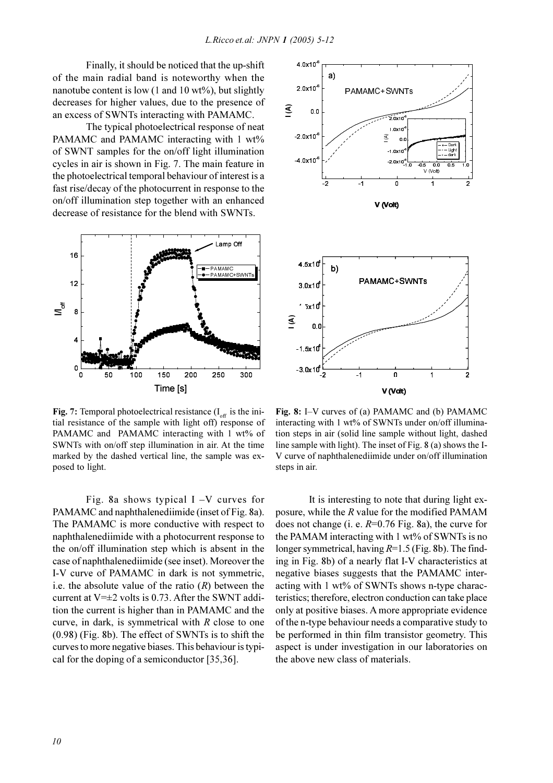Finally, it should be noticed that the up-shift of the main radial band is noteworthy when the nanotube content is low  $(1$  and  $10$  wt%), but slightly decreases for higher values, due to the presence of an excess of SWNTs interacting with PAMAMC.

The typical photoelectrical response of neat PAMAMC and PAMAMC interacting with 1 wt% of SWNT samples for the on/off light illumination cycles in air is shown in Fig. 7. The main feature in the photoelectrical temporal behaviour of interest is a fast rise/decay of the photocurrent in response to the on/off illumination step together with an enhanced decrease of resistance for the blend with SWNTs.



**Fig. 7:** Temporal photoelectrical resistance  $(I_{\text{off}})$  is the initial resistance of the sample with light off) response of PAMAMC and PAMAMC interacting with 1 wt% of SWNTs with on/off step illumination in air. At the time marked by the dashed vertical line, the sample was exposed to light.

Fig. 8a shows typical  $I - V$  curves for PAMAMC and naphthalenediimide (inset of Fig. 8a). The PAMAMC is more conductive with respect to naphthalenediimide with a photocurrent response to the on/off illumination step which is absent in the case of naphthalenediimide (see inset). Moreover the I-V curve of PAMAMC in dark is not symmetric, i.e. the absolute value of the ratio  $(R)$  between the current at  $V=\pm 2$  volts is 0.73. After the SWNT addition the current is higher than in PAMAMC and the curve, in dark, is symmetrical with  $R$  close to one  $(0.98)$  (Fig. 8b). The effect of SWNTs is to shift the curves to more negative biases. This behaviour is typical for the doping of a semiconductor [35,36].



Fig. 8: I-V curves of (a) PAMAMC and (b) PAMAMC interacting with 1 wt% of SWNTs under on/off illumination steps in air (solid line sample without light, dashed line sample with light). The inset of Fig. 8 (a) shows the I-V curve of naphthalenediimide under on/off illumination steps in air.

It is interesting to note that during light exposure, while the R value for the modified PAMAM does not change (i. e.  $R=0.76$  Fig. 8a), the curve for the PAMAM interacting with 1 wt% of SWNTs is no longer symmetrical, having  $R=1.5$  (Fig. 8b). The finding in Fig. 8b) of a nearly flat I-V characteristics at negative biases suggests that the PAMAMC interacting with 1 wt% of SWNTs shows n-type characteristics: therefore, electron conduction can take place only at positive biases. A more appropriate evidence of the n-type behaviour needs a comparative study to be performed in thin film transistor geometry. This aspect is under investigation in our laboratories on the above new class of materials.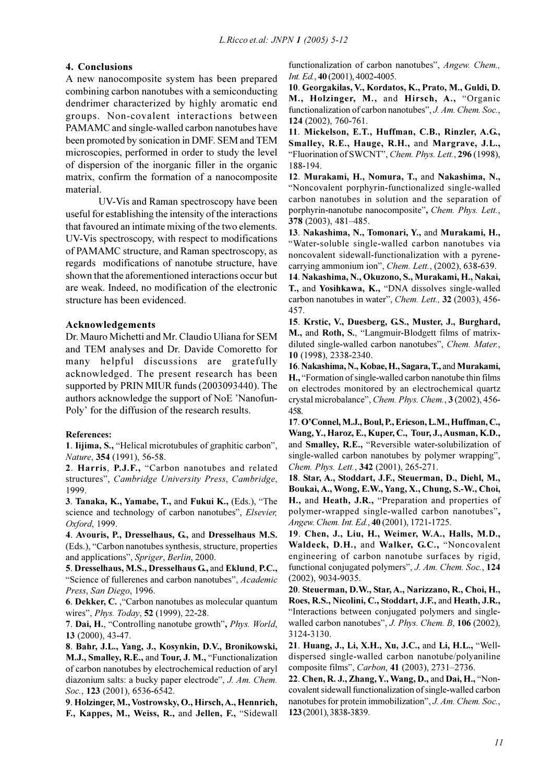## 4. Conclusions

A new nanocomposite system has been prepared combining carbon nanotubes with a semiconducting dendrimer characterized by highly aromatic end groups. Non-covalent interactions between PAMAMC and single-walled carbon nanotubes have been promoted by sonication in DMF. SEM and TEM microscopies, performed in order to study the level of dispersion of the inorganic filler in the organic matrix, confirm the formation of a nanocomposite material.

UV-Vis and Raman spectroscopy have been useful for establishing the intensity of the interactions that favoured an intimate mixing of the two elements. UV-Vis spectroscopy, with respect to modifications of PAMAMC structure, and Raman spectroscopy, as regards modifications of nanotube structure, have shown that the aforementioned interactions occur but are weak. Indeed, no modification of the electronic structure has been evidenced.

## Acknowledgements

Dr. Mauro Michetti and Mr. Claudio Uliana for SEM and TEM analyses and Dr. Davide Comoretto for many helpful discussions are gratefully acknowledged. The present research has been supported by PRIN MIUR funds (2003093440). The authors acknowledge the support of NoE 'Nanofun-Poly' for the diffusion of the research results.

### **References:**

1. Iijima, S., "Helical microtubules of graphitic carbon", Nature, 354 (1991), 56-58.

2. Harris, P.J.F., "Carbon nanotubes and related structures", Cambridge University Press, Cambridge, 1999.

3. Tanaka, K., Yamabe, T., and Fukui K., (Eds.), "The science and technology of carbon nanotubes", Elsevier, Oxford, 1999.

4. Avouris, P., Dresselhaus, G., and Dresselhaus M.S. (Eds.), "Carbon nanotubes synthesis, structure, properties and applications", Spriger, Berlin, 2000.

5. Dresselhaus, M.S., Dresselhaus G., and Eklund, P.C., "Science of fullerenes and carbon nanotubes", Academic Press, San Diego, 1996.

6. Dekker, C., "Carbon nanotubes as molecular quantum wires", *Phys. Today*, 52 (1999), 22-28.

7. Dai, H., "Controlling nanotube growth", Phys. World,  $13(2000), 43-47.$ 

8. Bahr, J.L., Yang, J., Kosynkin, D.V., Bronikowski, M.J., Smalley, R.E., and Tour, J. M., "Functionalization of carbon nanotubes by electrochemical reduction of aryl diazonium salts: a bucky paper electrode", J. Am. Chem. Soc., 123 (2001), 6536-6542.

9. Holzinger, M., Vostrowsky, O., Hirsch, A., Hennrich, F., Kappes, M., Weiss, R., and Jellen, F., "Sidewall

functionalization of carbon nanotubes", Angew. Chem., Int. Ed., 40 (2001), 4002-4005.

10. Georgakilas, V., Kordatos, K., Prato, M., Guldi, D. M., Holzinger, M., and Hirsch, A., "Organic functionalization of carbon nanotubes", J. Am. Chem. Soc., 124 (2002), 760-761.

11. Mickelson, E.T., Huffman, C.B., Rinzler, A.G., Smalley, R.E., Hauge, R.H., and Margrave, J.L., "Fluorination of SWCNT", Chem. Phys. Lett., 296 (1998), 188-194.

12. Murakami, H., Nomura, T., and Nakashima, N., "Noncovalent porphyrin-functionalized single-walled carbon nanotubes in solution and the separation of porphyrin-nanotube nanocomposite", Chem. Phys. Lett., 378 (2003), 481-485.

13. Nakashima, N., Tomonari, Y., and Murakami, H., "Water-soluble single-walled carbon nanotubes via noncovalent sidewall-functionalization with a pyrenecarrying ammonium ion", Chem. Lett., (2002), 638-639.

14. Nakashima, N., Okuzono, S., Murakami, H., Nakai, T., and Yosihkawa, K., "DNA dissolves single-walled carbon nanotubes in water", Chem. Lett., 32 (2003), 456-457.

15. Krstic, V., Duesberg, G.S., Muster, J., Burghard, M., and Roth, S., "Langmuir-Blodgett films of matrixdiluted single-walled carbon nanotubes", Chem. Mater., 10 (1998), 2338-2340.

16. Nakashima, N., Kobae, H., Sagara, T., and Murakami, H., "Formation of single-walled carbon nanotube thin films on electrodes monitored by an electrochemical quartz crystal microbalance", Chem. Phys. Chem., 3 (2002), 456-458.

17. O'Connel, M.J., Boul, P., Ericson, L.M., Huffman, C., Wang, Y., Haroz, E., Kuper, C., Tour, J., Ausman, K.D., and Smalley, R.E., "Reversible water-solubilization of single-walled carbon nanotubes by polymer wrapping", Chem. Phys. Lett., 342 (2001), 265-271.

18. Star, A., Stoddart, J.F., Steuerman, D., Diehl, M., Boukai, A., Wong, E.W., Yang, X., Chung, S.-W., Choi, H., and Heath, J.R., "Preparation and properties of polymer-wrapped single-walled carbon nanotubes", Angew. Chem. Int. Ed., 40 (2001), 1721-1725.

19. Chen, J., Liu, H., Weimer, W.A., Halls, M.D., Waldeck, D.H., and Walker, G.C., "Noncovalent engineering of carbon nanotube surfaces by rigid, functional conjugated polymers", J. Am. Chem. Soc., 124  $(2002)$ , 9034-9035.

20. Steuerman, D.W., Star, A., Narizzano, R., Choi, H., Roes, R.S., Nicolini, C., Stoddart, J.F., and Heath, J.R., "Interactions between conjugated polymers and singlewalled carbon nanotubes", J. Phys. Chem. B, 106 (2002), 3124-3130.

21. Huang, J., Li, X.H., Xu, J.C., and Li, H.L., "Welldispersed single-walled carbon nanotube/polyaniline composite films", Carbon, 41 (2003), 2731-2736.

22. Chen, R. J., Zhang, Y., Wang, D., and Dai, H., "Noncovalent sidewall functionalization of single-walled carbon nanotubes for protein immobilization", J. Am. Chem. Soc., 123 (2001), 3838-3839.